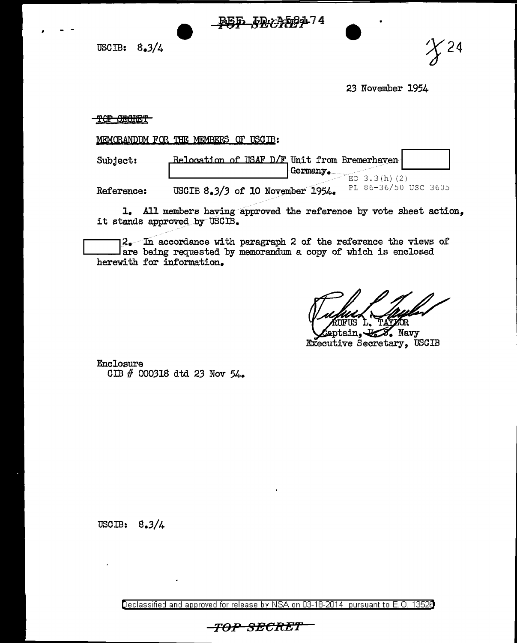USCIB:  $8.3/4$  **+**  $\frac{P55}{P}$   $\frac{F99}{P}$   $\frac{F99}{P}$   $\frac{F99}{P}$   $\frac{F99}{P}$   $\frac{F99}{P}$   $\frac{F99}{P}$   $\frac{F99}{P}$   $\frac{F99}{P}$   $\frac{F99}{P}$   $\frac{F99}{P}$   $\frac{F99}{P}$   $\frac{F99}{P}$   $\frac{F99}{P}$   $\frac{F99}{P}$   $\frac{F99}{P}$   $\frac{F99}{P}$ 



*23* November 1954

## TOP SECRET

MEMORANDUM FOR THE MEMBERS OF USCIB:

| Subject:   | Relocation of USAF D/F Unit from Bremerhaven  <br>  Germany.                 |
|------------|------------------------------------------------------------------------------|
| Reference: | $EO$ 3.3(h)(2)<br>PL 86-36/50 USC 3605<br>USCIB $8.3/3$ of 10 November 1954. |

1. All members having approved the reference by vote sheet action, it stands approved by USCIB.

are being requested by memorandum a copy of which is enclosed  $2$ . In accordance with paragraph 2 of the reference the views of herewith for information.

ŌR **Z.** Navy aptain.

Executive Secretary, USCIB

Enclosure GIB # 000318 dtd *23* Nov 54.

USCIB: 8.3/4

Declassified and approved for release by NSA on 03-18-2014 pursuant to E. 0. 1352B

**TOP 8ECRE1'**